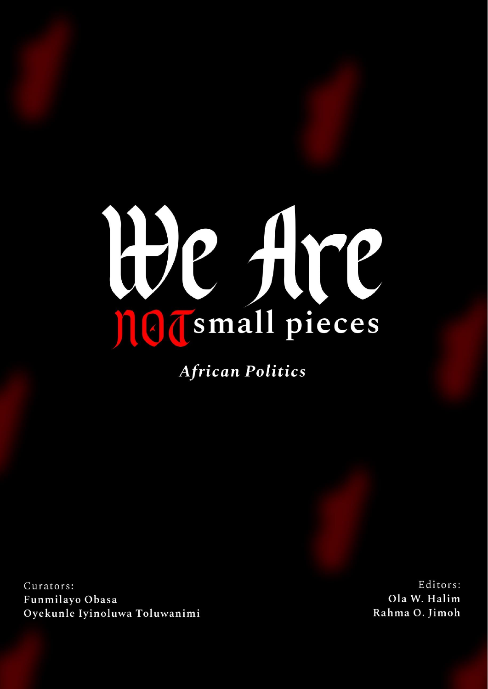# He Are

**African Politics** 

Curators: Funmilayo Obasa Oyekunle Iyinoluwa Toluwanimi

Editors: Ola W. Halim Rahma O. Jimoh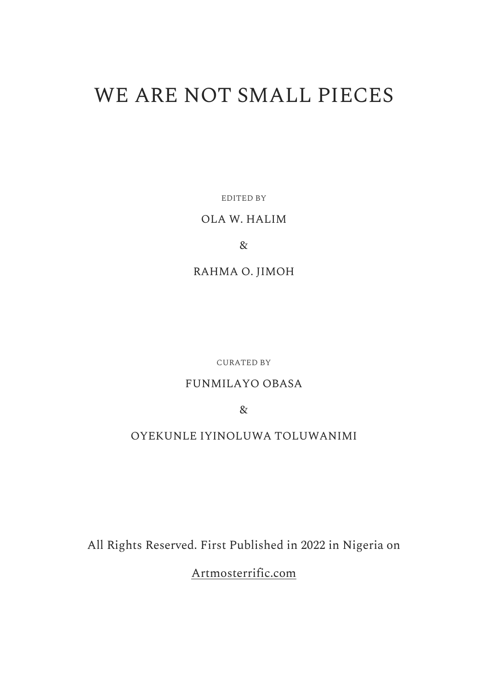# WE ARE NOT SMALL PIECES

EDITED BY

#### OLA W. HALIM

&

RAHMA O. JIMOH

CURATED BY

## FUNMILAYO OBASA

&

## OYEKUNLE IYINOLUWA TOLUWANIMI

All Rights Reserved. First Published in 2022 in Nigeria on

[Artmosterrific.com](https://artmosterrific.com/)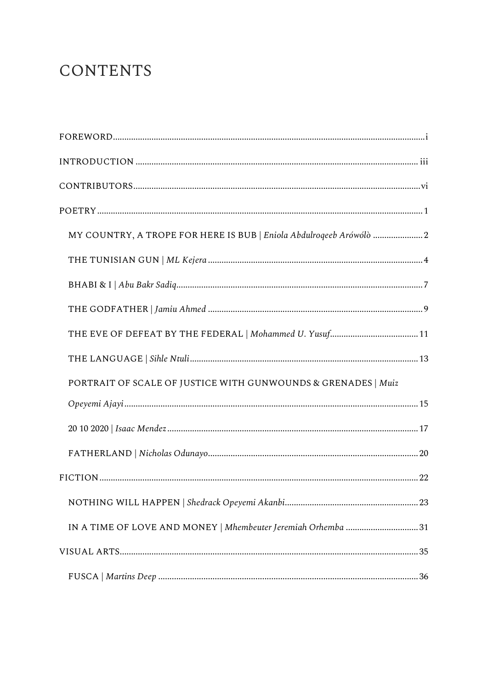# **CONTENTS**

| MY COUNTRY, A TROPE FOR HERE IS BUB   Eniola Abdulroqeeb Arówólò 2 |
|--------------------------------------------------------------------|
|                                                                    |
|                                                                    |
|                                                                    |
|                                                                    |
|                                                                    |
| PORTRAIT OF SCALE OF JUSTICE WITH GUNWOUNDS & GRENADES   Muiz      |
|                                                                    |
|                                                                    |
|                                                                    |
|                                                                    |
|                                                                    |
| IN A TIME OF LOVE AND MONEY   Mhembeuter Jeremiah Orhemba 31       |
|                                                                    |
|                                                                    |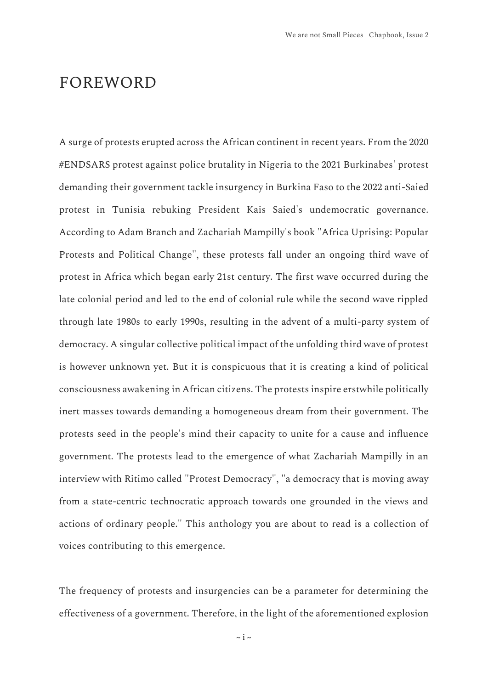## <span id="page-3-0"></span>FOREWORD

A surge of protests erupted across the African continent in recent years. From the 2020 #ENDSARS protest against police brutality in Nigeria to the 2021 Burkinabes' protest demanding their government tackle insurgency in Burkina Faso to the 2022 anti-Saied protest in Tunisia rebuking President Kais Saied's undemocratic governance. According to Adam Branch and Zachariah Mampilly's book "Africa Uprising: Popular Protests and Political Change", these protests fall under an ongoing third wave of protest in Africa which began early 21st century. The first wave occurred during the late colonial period and led to the end of colonial rule while the second wave rippled through late 1980s to early 1990s, resulting in the advent of a multi-party system of democracy. A singular collective political impact of the unfolding third wave of protest is however unknown yet. But it is conspicuous that it is creating a kind of political consciousness awakening in African citizens. The protests inspire erstwhile politically inert masses towards demanding a homogeneous dream from their government. The protests seed in the people's mind their capacity to unite for a cause and influence government. The protests lead to the emergence of what Zachariah Mampilly in an interview with Ritimo called "Protest Democracy", "a democracy that is moving away from a state-centric technocratic approach towards one grounded in the views and actions of ordinary people." This anthology you are about to read is a collection of voices contributing to this emergence.

The frequency of protests and insurgencies can be a parameter for determining the effectiveness of a government. Therefore, in the light of the aforementioned explosion

 $\sim$  i  $\sim$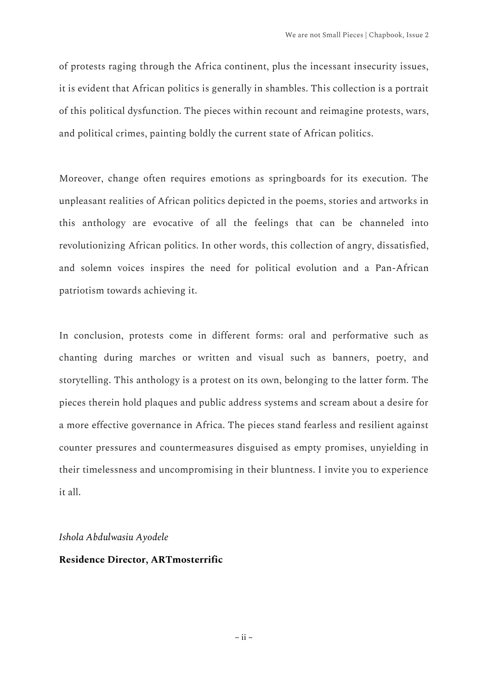of protests raging through the Africa continent, plus the incessant insecurity issues, it is evident that African politics is generally in shambles. This collection is a portrait of this political dysfunction. The pieces within recount and reimagine protests, wars, and political crimes, painting boldly the current state of African politics.

Moreover, change often requires emotions as springboards for its execution. The unpleasant realities of African politics depicted in the poems, stories and artworks in this anthology are evocative of all the feelings that can be channeled into revolutionizing African politics. In other words, this collection of angry, dissatisfied, and solemn voices inspires the need for political evolution and a Pan-African patriotism towards achieving it.

In conclusion, protests come in different forms: oral and performative such as chanting during marches or written and visual such as banners, poetry, and storytelling. This anthology is a protest on its own, belonging to the latter form. The pieces therein hold plaques and public address systems and scream about a desire for a more effective governance in Africa. The pieces stand fearless and resilient against counter pressures and countermeasures disguised as empty promises, unyielding in their timelessness and uncompromising in their bluntness. I invite you to experience it all.

*Ishola Abdulwasiu Ayodele* 

#### **Residence Director, ARTmosterrific**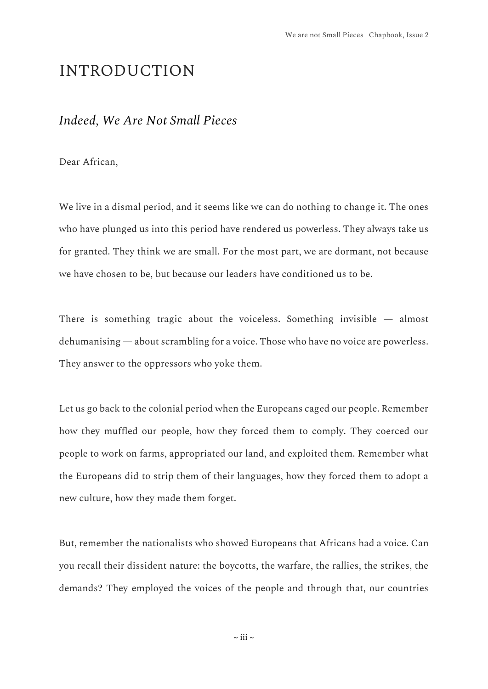## <span id="page-5-0"></span>INTRODUCTION

#### *Indeed, We Are Not Small Pieces*

Dear African,

We live in a dismal period, and it seems like we can do nothing to change it. The ones who have plunged us into this period have rendered us powerless. They always take us for granted. They think we are small. For the most part, we are dormant, not because we have chosen to be, but because our leaders have conditioned us to be.

There is something tragic about the voiceless. Something invisible — almost dehumanising — about scrambling for a voice. Those who have no voice are powerless. They answer to the oppressors who yoke them.

Let us go back to the colonial period when the Europeans caged our people. Remember how they muffled our people, how they forced them to comply. They coerced our people to work on farms, appropriated our land, and exploited them. Remember what the Europeans did to strip them of their languages, how they forced them to adopt a new culture, how they made them forget.

But, remember the nationalists who showed Europeans that Africans had a voice. Can you recall their dissident nature: the boycotts, the warfare, the rallies, the strikes, the demands? They employed the voices of the people and through that, our countries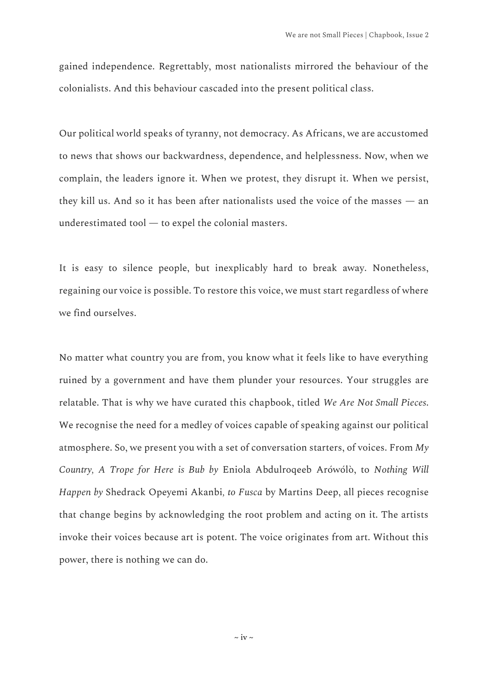gained independence. Regrettably, most nationalists mirrored the behaviour of the colonialists. And this behaviour cascaded into the present political class.

Our political world speaks of tyranny, not democracy. As Africans, we are accustomed to news that shows our backwardness, dependence, and helplessness. Now, when we complain, the leaders ignore it. When we protest, they disrupt it. When we persist, they kill us. And so it has been after nationalists used the voice of the masses — an underestimated tool — to expel the colonial masters.

It is easy to silence people, but inexplicably hard to break away. Nonetheless, regaining our voice is possible. To restore this voice, we must start regardless of where we find ourselves.

No matter what country you are from, you know what it feels like to have everything ruined by a government and have them plunder your resources. Your struggles are relatable. That is why we have curated this chapbook, titled *We Are Not Small Pieces*. We recognise the need for a medley of voices capable of speaking against our political atmosphere. So, we present you with a set of conversation starters, of voices. From *My Country, A Trope for Here is Bub by* Eniola Abdulroqeeb Arówólò, to *Nothing Will Happen by* Shedrack Opeyemi Akanbi*, to Fusca* by Martins Deep, all pieces recognise that change begins by acknowledging the root problem and acting on it. The artists invoke their voices because art is potent. The voice originates from art. Without this power, there is nothing we can do.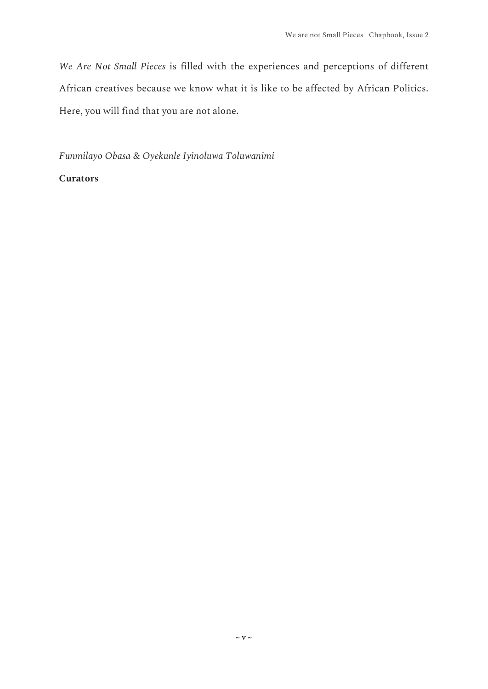*We Are Not Small Pieces* is filled with the experiences and perceptions of different African creatives because we know what it is like to be affected by African Politics. Here, you will find that you are not alone.

*Funmilayo Obasa & Oyekunle Iyinoluwa Toluwanimi*

#### **Curators**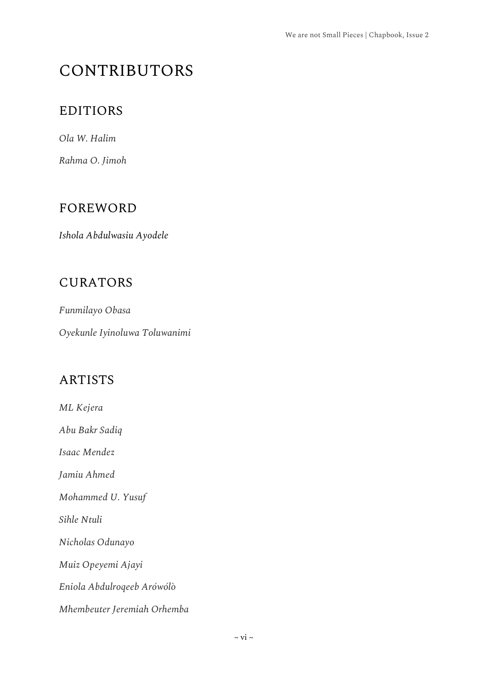# <span id="page-8-0"></span>CONTRIBUTORS

## EDITIORS

*Ola W. Halim*

*Rahma O. Jimoh*

## FOREWORD

*Ishola Abdulwasiu Ayodele* 

## CURATORS

*Funmilayo Obasa*

*Oyekunle Iyinoluwa Toluwanimi*

## ARTISTS

*ML Kejera*

*Abu Bakr Sadiq*

*Isaac Mendez*

*Jamiu Ahmed*

*Mohammed U. Yusuf*

*Sihle Ntuli*

*Nicholas Odunayo*

*Muiz Opeyemi Ajayi*

*Eniola Abdulroqeeb Arówólò*

*Mhembeuter Jeremiah Orhemba*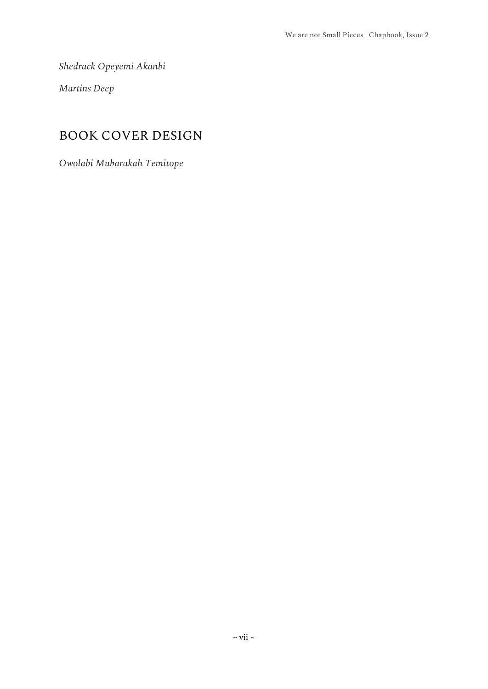*Shedrack Opeyemi Akanbi* 

*Martins Deep*

## BOOK COVER DESIGN

*Owolabi Mubarakah Temitope*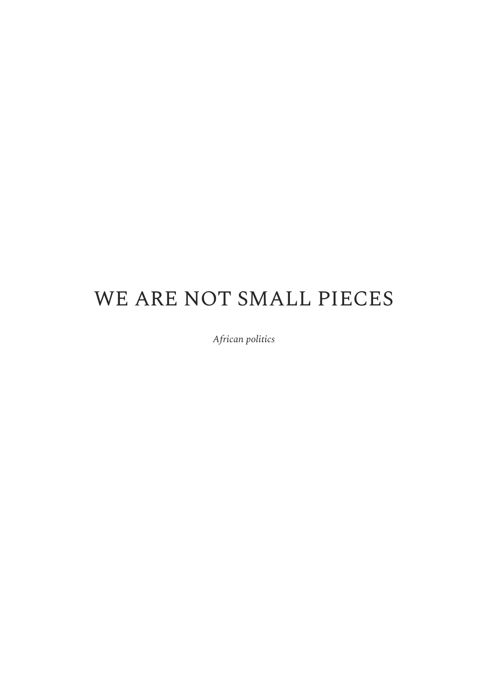# WE ARE NOT SMALL PIECES

*African politics*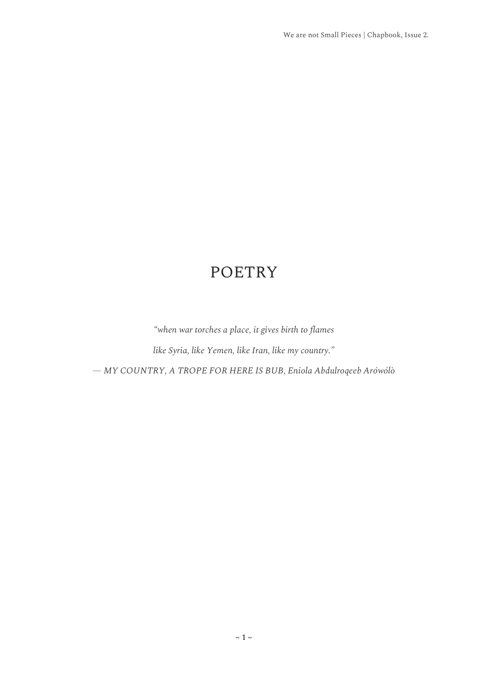## POETRY

<span id="page-11-0"></span>*"when war torches a place, it gives birth to flames*

*like Syria, like Yemen, like Iran, like my country."*

*— MY COUNTRY, A TROPE FOR HERE IS BUB, Eniola Abdulroqeeb Arówólò*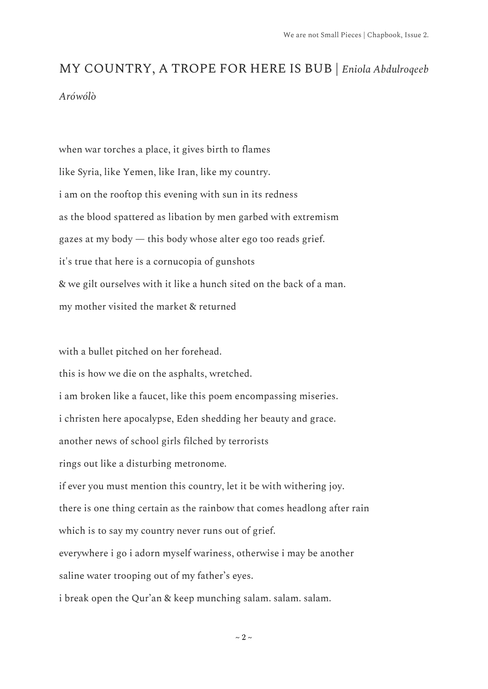# <span id="page-12-0"></span>MY COUNTRY, A TROPE FOR HERE IS BUB | *Eniola Abdulroqeeb Arówólò*

when war torches a place, it gives birth to flames like Syria, like Yemen, like Iran, like my country. i am on the rooftop this evening with sun in its redness as the blood spattered as libation by men garbed with extremism gazes at my body — this body whose alter ego too reads grief. it's true that here is a cornucopia of gunshots & we gilt ourselves with it like a hunch sited on the back of a man. my mother visited the market & returned

with a bullet pitched on her forehead.

this is how we die on the asphalts, wretched.

i am broken like a faucet, like this poem encompassing miseries.

i christen here apocalypse, Eden shedding her beauty and grace.

another news of school girls filched by terrorists

rings out like a disturbing metronome.

if ever you must mention this country, let it be with withering joy.

there is one thing certain as the rainbow that comes headlong after rain which is to say my country never runs out of grief.

everywhere i go i adorn myself wariness, otherwise i may be another saline water trooping out of my father's eyes.

i break open the Qur'an & keep munching salam. salam. salam.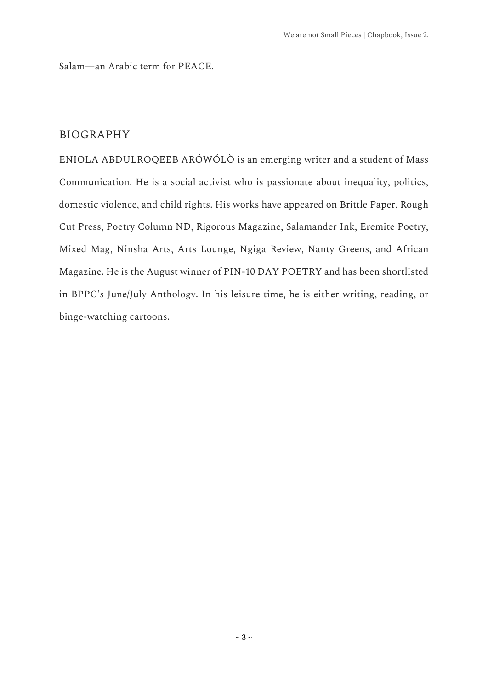Salam—an Arabic term for PEACE.

#### BIOGRAPHY

ENIOLA ABDULROQEEB ARÓWÓLÒ is an emerging writer and a student of Mass Communication. He is a social activist who is passionate about inequality, politics, domestic violence, and child rights. His works have appeared on Brittle Paper, Rough Cut Press, Poetry Column ND, Rigorous Magazine, Salamander Ink, Eremite Poetry, Mixed Mag, Ninsha Arts, Arts Lounge, Ngiga Review, Nanty Greens, and African Magazine. He is the August winner of PIN-10 DAY POETRY and has been shortlisted in BPPC's June/July Anthology. In his leisure time, he is either writing, reading, or binge-watching cartoons.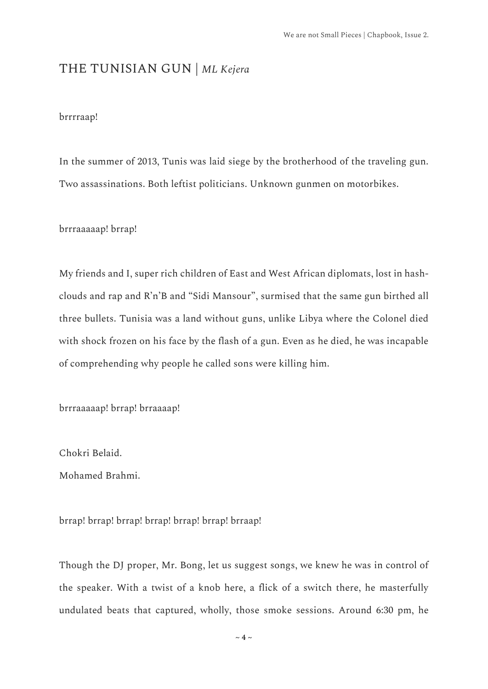## <span id="page-14-0"></span>THE TUNISIAN GUN | *ML Kejera*

#### brrrraap!

In the summer of 2013, Tunis was laid siege by the brotherhood of the traveling gun. Two assassinations. Both leftist politicians. Unknown gunmen on motorbikes.

brrraaaaap! brrap!

My friends and I, super rich children of East and West African diplomats, lost in hashclouds and rap and R'n'B and "Sidi Mansour", surmised that the same gun birthed all three bullets. Tunisia was a land without guns, unlike Libya where the Colonel died with shock frozen on his face by the flash of a gun. Even as he died, he was incapable of comprehending why people he called sons were killing him.

brrraaaaap! brrap! brraaaap!

Chokri Belaid.

Mohamed Brahmi.

brrap! brrap! brrap! brrap! brrap! brrap! brraap!

Though the DJ proper, Mr. Bong, let us suggest songs, we knew he was in control of the speaker. With a twist of a knob here, a flick of a switch there, he masterfully undulated beats that captured, wholly, those smoke sessions. Around 6:30 pm, he

 $\sim$  4  $\sim$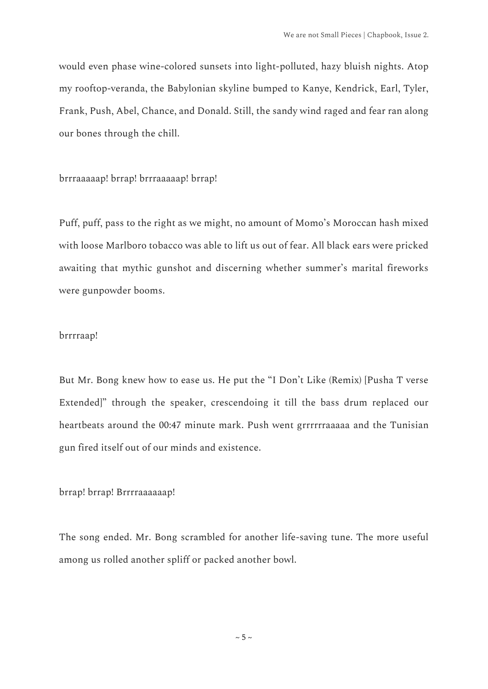would even phase wine-colored sunsets into light-polluted, hazy bluish nights. Atop my rooftop-veranda, the Babylonian skyline bumped to Kanye, Kendrick, Earl, Tyler, Frank, Push, Abel, Chance, and Donald. Still, the sandy wind raged and fear ran along our bones through the chill.

brrraaaaap! brrap! brrraaaaap! brrap!

Puff, puff, pass to the right as we might, no amount of Momo's Moroccan hash mixed with loose Marlboro tobacco was able to lift us out of fear. All black ears were pricked awaiting that mythic gunshot and discerning whether summer's marital fireworks were gunpowder booms.

#### brrrraap!

But Mr. Bong knew how to ease us. He put the "I Don't Like (Remix) [Pusha T verse Extended]" through the speaker, crescendoing it till the bass drum replaced our heartbeats around the 00:47 minute mark. Push went grrrrrraaaaa and the Tunisian gun fired itself out of our minds and existence.

brrap! brrap! Brrrraaaaaap!

The song ended. Mr. Bong scrambled for another life-saving tune. The more useful among us rolled another spliff or packed another bowl.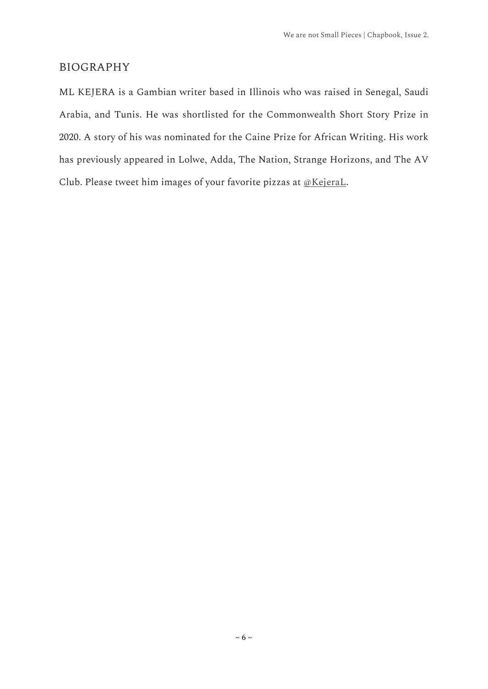#### BIOGRAPHY

ML KEJERA is a Gambian writer based in Illinois who was raised in Senegal, Saudi Arabia, and Tunis. He was shortlisted for the Commonwealth Short Story Prize in 2020. A story of his was nominated for the Caine Prize for African Writing. His work has previously appeared in Lolwe, Adda, The Nation, Strange Horizons, and The AV Club. Please tweet him images of your favorite pizzas at [@KejeraL.](https://twitter.com/KejeraL?s=20&t=5MfnAEVx0xof42KvsZOs8Q)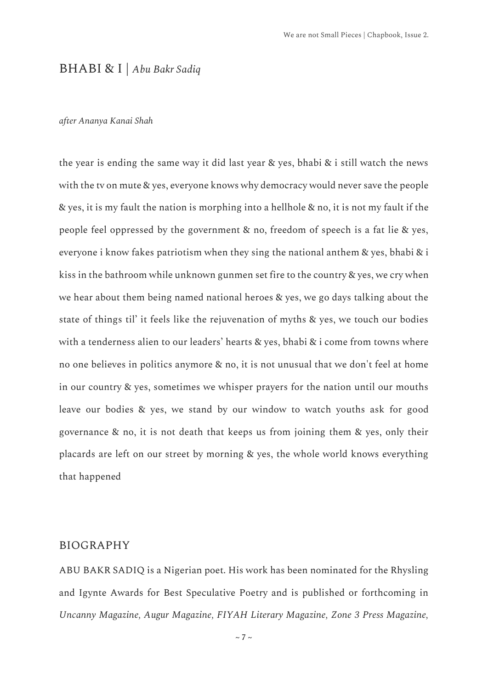#### <span id="page-17-0"></span>BHABI & I | *Abu Bakr Sadiq*

#### *after Ananya Kanai Shah*

the year is ending the same way it did last year & yes, bhabi & i still watch the news with the tv on mute & yes, everyone knows why democracy would never save the people & yes, it is my fault the nation is morphing into a hellhole & no, it is not my fault if the people feel oppressed by the government & no, freedom of speech is a fat lie & yes, everyone i know fakes patriotism when they sing the national anthem & yes, bhabi & i kiss in the bathroom while unknown gunmen set fire to the country & yes, we cry when we hear about them being named national heroes & yes, we go days talking about the state of things til' it feels like the rejuvenation of myths & yes, we touch our bodies with a tenderness alien to our leaders' hearts & yes, bhabi & i come from towns where no one believes in politics anymore & no, it is not unusual that we don't feel at home in our country & yes, sometimes we whisper prayers for the nation until our mouths leave our bodies & yes, we stand by our window to watch youths ask for good governance & no, it is not death that keeps us from joining them & yes, only their placards are left on our street by morning & yes, the whole world knows everything that happened

#### BIOGRAPHY

ABU BAKR SADIQ is a Nigerian poet. His work has been nominated for the Rhysling and Igynte Awards for Best Speculative Poetry and is published or forthcoming in *Uncanny Magazine, Augur Magazine, FIYAH Literary Magazine, Zone 3 Press Magazine,* 

 $\sim$  7  $\sim$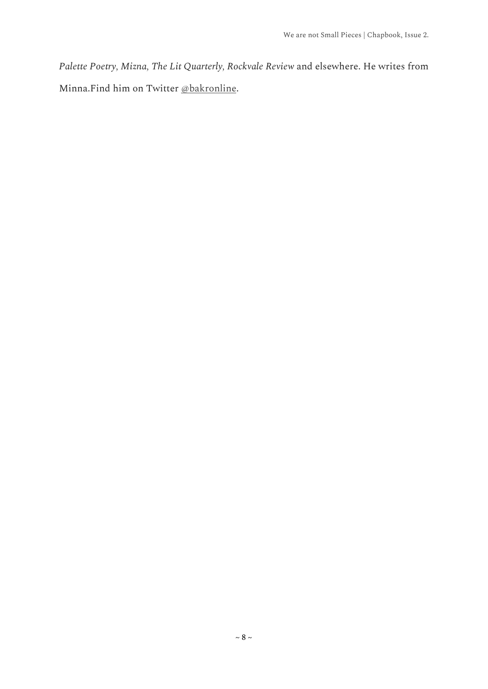*Palette Poetry, Mizna, The Lit Quarterly, Rockvale Review* and elsewhere. He writes from Minna.Find him on Twitter [@bakronline.](https://twitter.com/bakronline?s=20&t=5MfnAEVx0xof42KvsZOs8Q)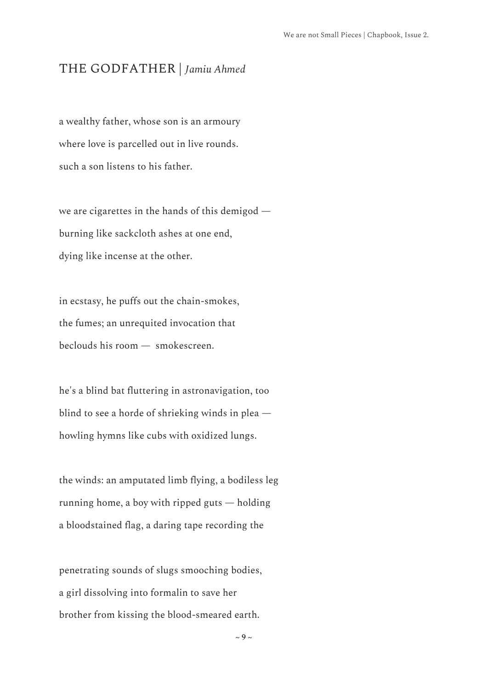## <span id="page-19-0"></span>THE GODFATHER | *Jamiu Ahmed*

a wealthy father, whose son is an armoury where love is parcelled out in live rounds. such a son listens to his father.

we are cigarettes in the hands of this demigod burning like sackcloth ashes at one end, dying like incense at the other.

in ecstasy, he puffs out the chain-smokes, the fumes; an unrequited invocation that beclouds his room — smokescreen.

he's a blind bat fluttering in astronavigation, too blind to see a horde of shrieking winds in plea howling hymns like cubs with oxidized lungs.

the winds: an amputated limb flying, a bodiless leg running home, a boy with ripped guts — holding a bloodstained flag, a daring tape recording the

penetrating sounds of slugs smooching bodies, a girl dissolving into formalin to save her brother from kissing the blood-smeared earth.

 $\sim$  9  $\sim$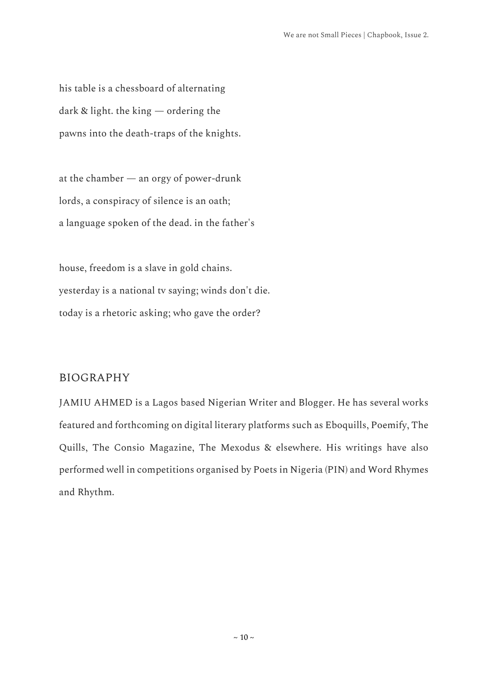his table is a chessboard of alternating dark & light. the king — ordering the pawns into the death-traps of the knights.

at the chamber — an orgy of power-drunk lords, a conspiracy of silence is an oath; a language spoken of the dead. in the father's

house, freedom is a slave in gold chains. yesterday is a national tv saying; winds don't die. today is a rhetoric asking; who gave the order?

#### BIOGRAPHY

JAMIU AHMED is a Lagos based Nigerian Writer and Blogger. He has several works featured and forthcoming on digital literary platforms such as Eboquills, Poemify, The Quills, The Consio Magazine, The Mexodus & elsewhere. His writings have also performed well in competitions organised by Poets in Nigeria (PIN) and Word Rhymes and Rhythm.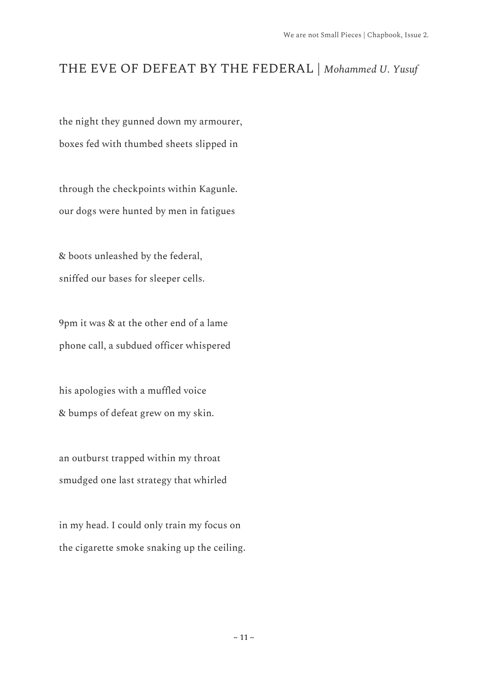## <span id="page-21-0"></span>THE EVE OF DEFEAT BY THE FEDERAL | *Mohammed U. Yusuf*

the night they gunned down my armourer, boxes fed with thumbed sheets slipped in

through the checkpoints within Kagunle. our dogs were hunted by men in fatigues

& boots unleashed by the federal, sniffed our bases for sleeper cells.

9pm it was & at the other end of a lame phone call, a subdued officer whispered

his apologies with a muffled voice & bumps of defeat grew on my skin.

an outburst trapped within my throat smudged one last strategy that whirled

in my head. I could only train my focus on the cigarette smoke snaking up the ceiling.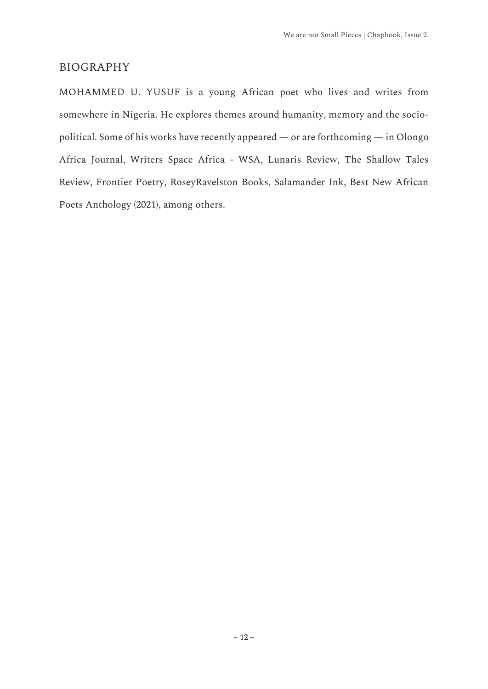#### BIOGRAPHY

MOHAMMED U. YUSUF is a young African poet who lives and writes from somewhere in Nigeria. He explores themes around humanity, memory and the sociopolitical. Some of his works have recently appeared — or are forthcoming — in Olongo Africa Journal, Writers Space Africa - WSA, Lunaris Review, The Shallow Tales Review, Frontier Poetry, RoseyRavelston Books, Salamander Ink, Best New African Poets Anthology (2021), among others.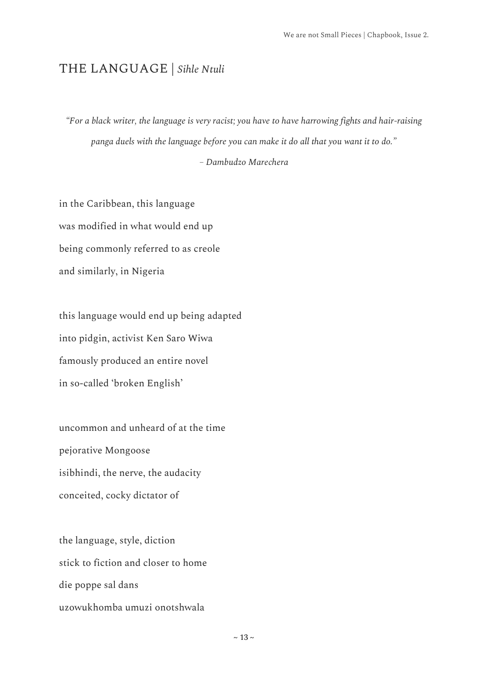## <span id="page-23-0"></span>THE LANGUAGE | *Sihle Ntuli*

*"For a black writer, the language is very racist; you have to have harrowing fights and hair-raising panga duels with the language before you can make it do all that you want it to do."*

#### *– Dambudzo Marechera*

in the Caribbean, this language was modified in what would end up being commonly referred to as creole and similarly, in Nigeria

this language would end up being adapted into pidgin, activist Ken Saro Wiwa famously produced an entire novel in so-called 'broken English'

uncommon and unheard of at the time pejorative Mongoose isibhindi, the nerve, the audacity conceited, cocky dictator of

the language, style, diction stick to fiction and closer to home die poppe sal dans uzowukhomba umuzi onotshwala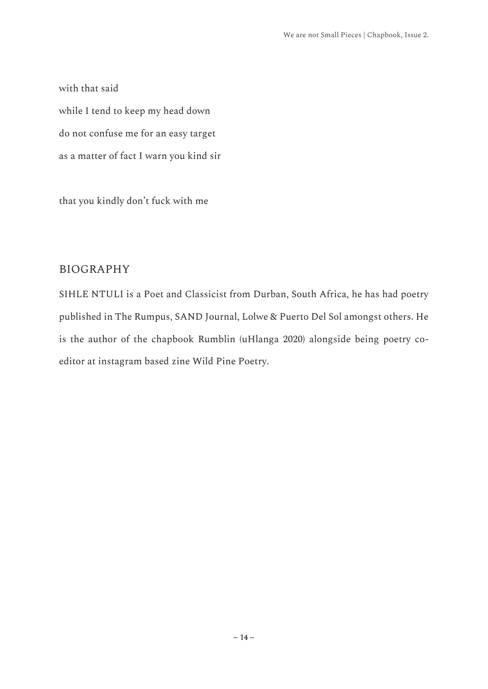with that said while I tend to keep my head down do not confuse me for an easy target as a matter of fact I warn you kind sir

that you kindly don't fuck with me

#### BIOGRAPHY

SIHLE NTULI is a Poet and Classicist from Durban, South Africa, he has had poetry published in The Rumpus, SAND Journal, Lolwe & Puerto Del Sol amongst others. He is the author of the chapbook Rumblin (uHlanga 2020) alongside being poetry coeditor at instagram based zine Wild Pine Poetry.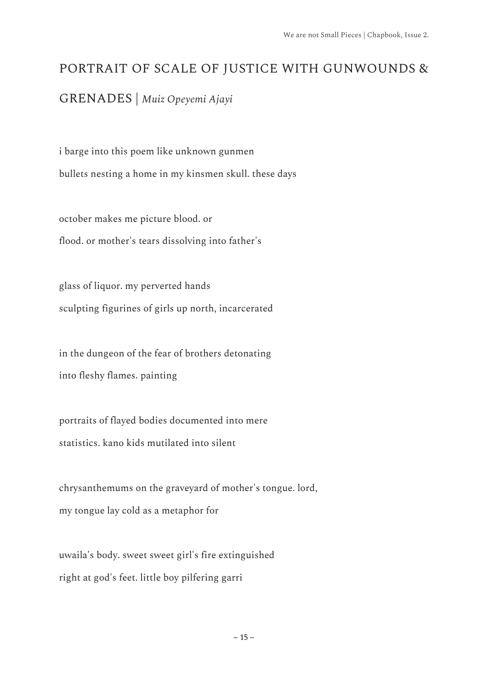## <span id="page-25-0"></span>PORTRAIT OF SCALE OF JUSTICE WITH GUNWOUNDS &

GRENADES | *Muiz Opeyemi Ajayi*

i barge into this poem like unknown gunmen bullets nesting a home in my kinsmen skull. these days

october makes me picture blood. or flood. or mother's tears dissolving into father's

glass of liquor. my perverted hands sculpting figurines of girls up north, incarcerated

in the dungeon of the fear of brothers detonating into fleshy flames. painting

portraits of flayed bodies documented into mere statistics. kano kids mutilated into silent

chrysanthemums on the graveyard of mother's tongue. lord, my tongue lay cold as a metaphor for

uwaila's body. sweet sweet girl's fire extinguished right at god's feet. little boy pilfering garri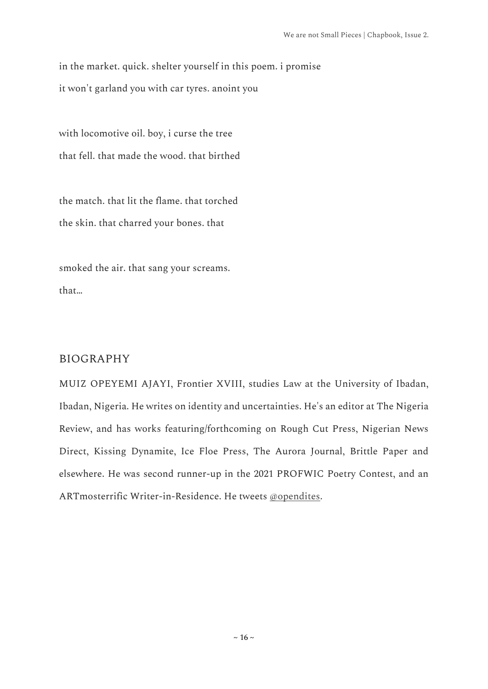in the market. quick. shelter yourself in this poem. i promise it won't garland you with car tyres. anoint you

with locomotive oil. boy, i curse the tree that fell. that made the wood. that birthed

the match. that lit the flame. that torched the skin. that charred your bones. that

smoked the air. that sang your screams. that…

#### BIOGRAPHY

MUIZ OPEYEMI AJAYI, Frontier XVIII, studies Law at the University of Ibadan, Ibadan, Nigeria. He writes on identity and uncertainties. He's an editor at The Nigeria Review, and has works featuring/forthcoming on Rough Cut Press, Nigerian News Direct, Kissing Dynamite, Ice Floe Press, The Aurora Journal, Brittle Paper and elsewhere. He was second runner-up in the 2021 PROFWIC Poetry Contest, and an ARTmosterrific Writer-in-Residence. He tweets [@opendites.](https://twitter.com/opendites?s=20&t=5MfnAEVx0xof42KvsZOs8Q)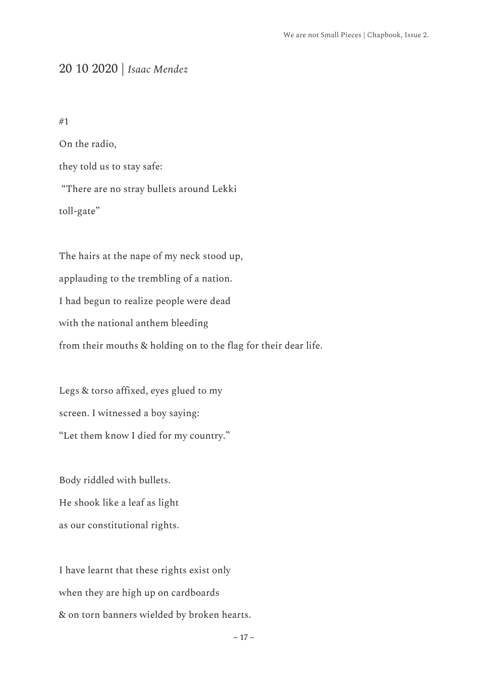## <span id="page-27-0"></span>20 10 2020 | *Isaac Mendez*

#1

On the radio, they told us to stay safe: "There are no stray bullets around Lekki toll-gate"

The hairs at the nape of my neck stood up, applauding to the trembling of a nation. I had begun to realize people were dead with the national anthem bleeding from their mouths & holding on to the flag for their dear life.

Legs & torso affixed, eyes glued to my screen. I witnessed a boy saying: "Let them know I died for my country."

Body riddled with bullets. He shook like a leaf as light as our constitutional rights.

I have learnt that these rights exist only when they are high up on cardboards & on torn banners wielded by broken hearts.

 $\sim$  17  $\sim$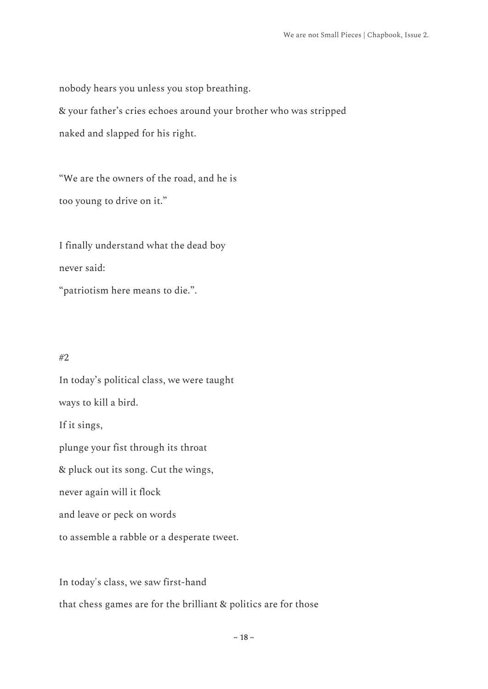nobody hears you unless you stop breathing.

& your father's cries echoes around your brother who was stripped

naked and slapped for his right.

"We are the owners of the road, and he is too young to drive on it."

I finally understand what the dead boy never said:

"patriotism here means to die.".

#### #2

In today's political class, we were taught ways to kill a bird. If it sings, plunge your fist through its throat & pluck out its song. Cut the wings, never again will it flock and leave or peck on words to assemble a rabble or a desperate tweet.

In today's class, we saw first-hand that chess games are for the brilliant & politics are for those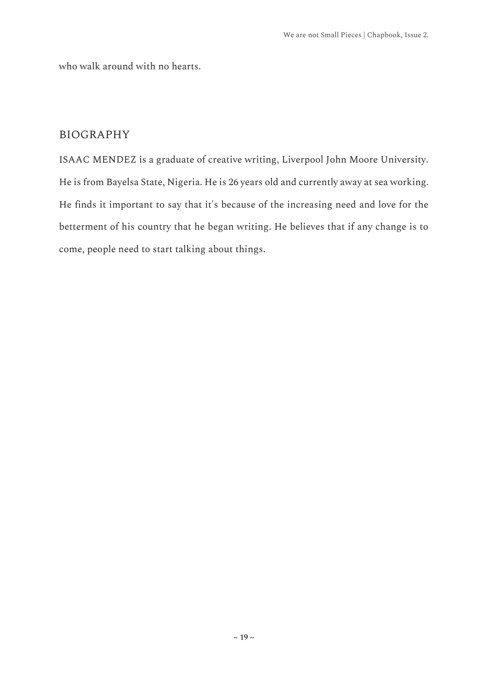who walk around with no hearts.

#### BIOGRAPHY

ISAAC MENDEZ is a graduate of creative writing, Liverpool John Moore University. He is from Bayelsa State, Nigeria. He is 26 years old and currently away at sea working. He finds it important to say that it's because of the increasing need and love for the betterment of his country that he began writing. He believes that if any change is to come, people need to start talking about things.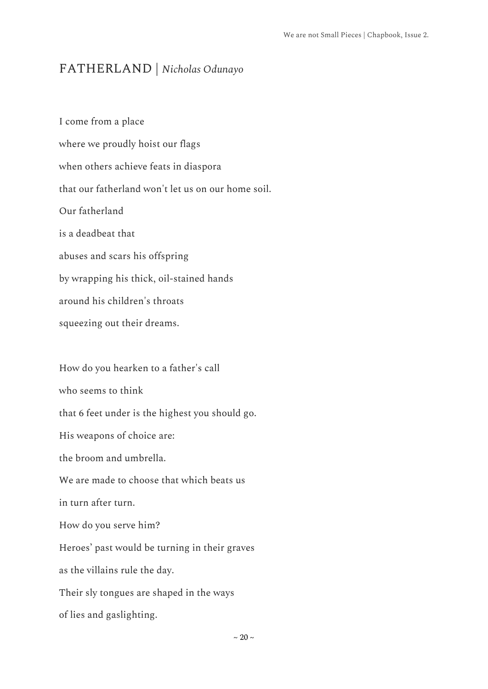## <span id="page-30-0"></span>FATHERLAND | *Nicholas Odunayo*

I come from a place where we proudly hoist our flags when others achieve feats in diaspora that our fatherland won't let us on our home soil. Our fatherland is a deadbeat that abuses and scars his offspring by wrapping his thick, oil-stained hands around his children's throats squeezing out their dreams.

How do you hearken to a father's call who seems to think that 6 feet under is the highest you should go. His weapons of choice are: the broom and umbrella. We are made to choose that which beats us in turn after turn. How do you serve him? Heroes' past would be turning in their graves as the villains rule the day. Their sly tongues are shaped in the ways of lies and gaslighting.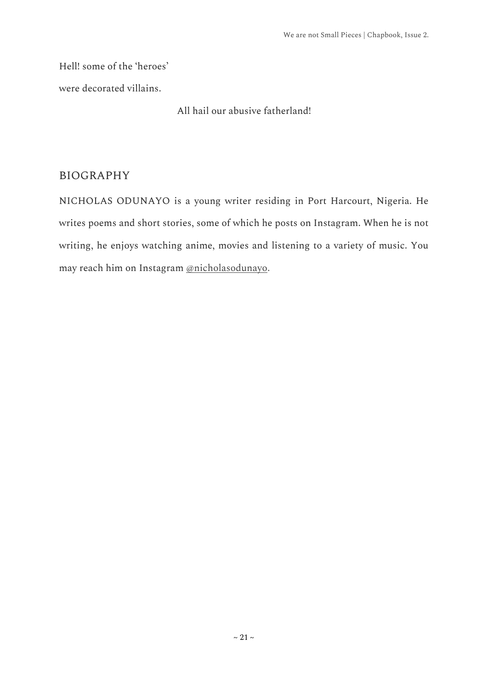Hell! some of the 'heroes'

were decorated villains.

All hail our abusive fatherland!

#### BIOGRAPHY

NICHOLAS ODUNAYO is a young writer residing in Port Harcourt, Nigeria. He writes poems and short stories, some of which he posts on Instagram. When he is not writing, he enjoys watching anime, movies and listening to a variety of music. You may reach him on Instagram [@nicholasodunayo.](https://www.instagram.com/nicholasodunayo/)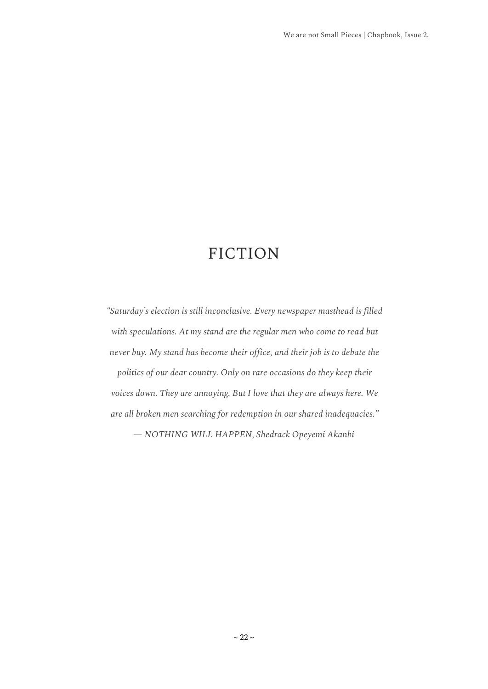# FICTION

<span id="page-32-0"></span>*"Saturday's election is still inconclusive. Every newspaper masthead is filled with speculations. At my stand are the regular men who come to read but never buy. My stand has become their office, and their job is to debate the* 

*politics of our dear country. Only on rare occasions do they keep their voices down. They are annoying. But I love that they are always here. We are all broken men searching for redemption in our shared inadequacies."*

*— NOTHING WILL HAPPEN, Shedrack Opeyemi Akanbi*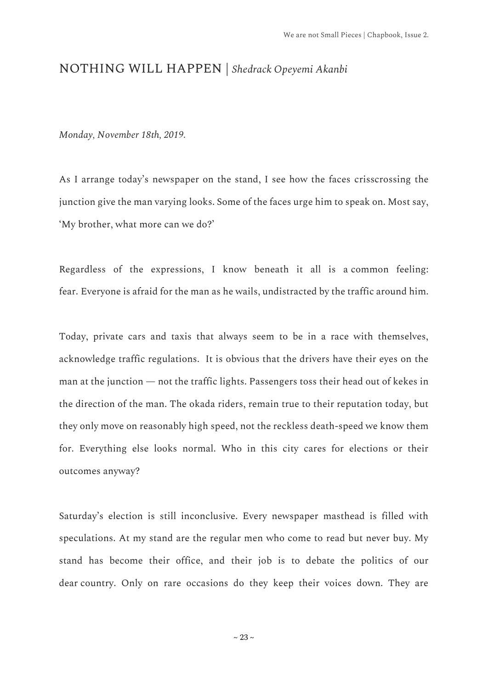#### <span id="page-33-0"></span>NOTHING WILL HAPPEN | *Shedrack Opeyemi Akanbi*

*Monday, November 18th, 2019.*

As I arrange today's newspaper on the stand, I see how the faces crisscrossing the junction give the man varying looks. Some of the faces urge him to speak on. Most say, 'My brother, what more can we do?'

Regardless of the expressions, I know beneath it all is a common feeling: fear. Everyone is afraid for the man as he wails, undistracted by the traffic around him.

Today, private cars and taxis that always seem to be in a race with themselves, acknowledge traffic regulations. It is obvious that the drivers have their eyes on the man at the junction — not the traffic lights. Passengers toss their head out of kekes in the direction of the man. The okada riders, remain true to their reputation today, but they only move on reasonably high speed, not the reckless death-speed we know them for. Everything else looks normal. Who in this city cares for elections or their outcomes anyway?

Saturday's election is still inconclusive. Every newspaper masthead is filled with speculations. At my stand are the regular men who come to read but never buy. My stand has become their office, and their job is to debate the politics of our dear country. Only on rare occasions do they keep their voices down. They are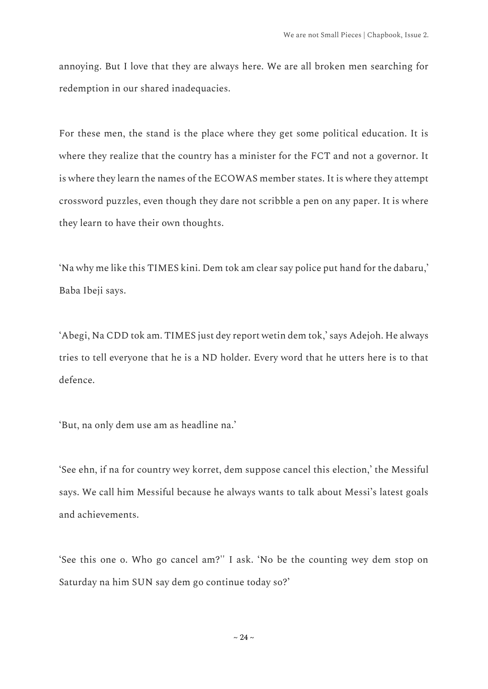annoying. But I love that they are always here. We are all broken men searching for redemption in our shared inadequacies.

For these men, the stand is the place where they get some political education. It is where they realize that the country has a minister for the FCT and not a governor. It is where they learn the names of the ECOWAS member states. It is where they attempt crossword puzzles, even though they dare not scribble a pen on any paper. It is where they learn to have their own thoughts.

'Na why me like this TIMES kini. Dem tok am clear say police put hand for the dabaru,' Baba Ibeji says.

'Abegi, Na CDD tok am. TIMES just dey report wetin dem tok,' says Adejoh. He always tries to tell everyone that he is a ND holder. Every word that he utters here is to that defence.

'But, na only dem use am as headline na.'

'See ehn, if na for country wey korret, dem suppose cancel this election,' the Messiful says. We call him Messiful because he always wants to talk about Messi's latest goals and achievements.

'See this one o. Who go cancel am?'' I ask. 'No be the counting wey dem stop on Saturday na him SUN say dem go continue today so?'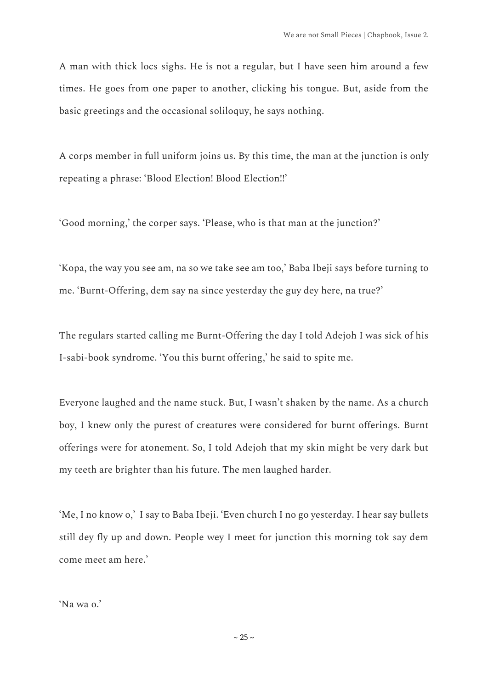A man with thick locs sighs. He is not a regular, but I have seen him around a few times. He goes from one paper to another, clicking his tongue. But, aside from the basic greetings and the occasional soliloquy, he says nothing.

A corps member in full uniform joins us. By this time, the man at the junction is only repeating a phrase: 'Blood Election! Blood Election!!'

'Good morning,' the corper says. 'Please, who is that man at the junction?'

'Kopa, the way you see am, na so we take see am too,' Baba Ibeji says before turning to me. 'Burnt-Offering, dem say na since yesterday the guy dey here, na true?'

The regulars started calling me Burnt-Offering the day I told Adejoh I was sick of his I-sabi-book syndrome. 'You this burnt offering,' he said to spite me.

Everyone laughed and the name stuck. But, I wasn't shaken by the name. As a church boy, I knew only the purest of creatures were considered for burnt offerings. Burnt offerings were for atonement. So, I told Adejoh that my skin might be very dark but my teeth are brighter than his future. The men laughed harder.

'Me, I no know o,' I say to Baba Ibeji. 'Even church I no go yesterday. I hear say bullets still dey fly up and down. People wey I meet for junction this morning tok say dem come meet am here.'

'Na wa o.'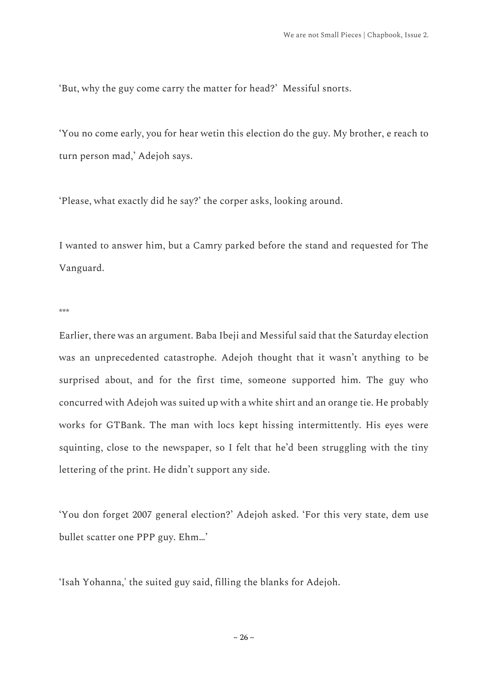'But, why the guy come carry the matter for head?' Messiful snorts.

'You no come early, you for hear wetin this election do the guy. My brother, e reach to turn person mad,' Adejoh says.

'Please, what exactly did he say?' the corper asks, looking around.

I wanted to answer him, but a Camry parked before the stand and requested for The Vanguard.

\*\*\*

Earlier, there was an argument. Baba Ibeji and Messiful said that the Saturday election was an unprecedented catastrophe. Adejoh thought that it wasn't anything to be surprised about, and for the first time, someone supported him. The guy who concurred with Adejoh was suited up with a white shirt and an orange tie. He probably works for GTBank. The man with locs kept hissing intermittently. His eyes were squinting, close to the newspaper, so I felt that he'd been struggling with the tiny lettering of the print. He didn't support any side.

'You don forget 2007 general election?' Adejoh asked. 'For this very state, dem use bullet scatter one PPP guy. Ehm…'

'Isah Yohanna,' the suited guy said, filling the blanks for Adejoh.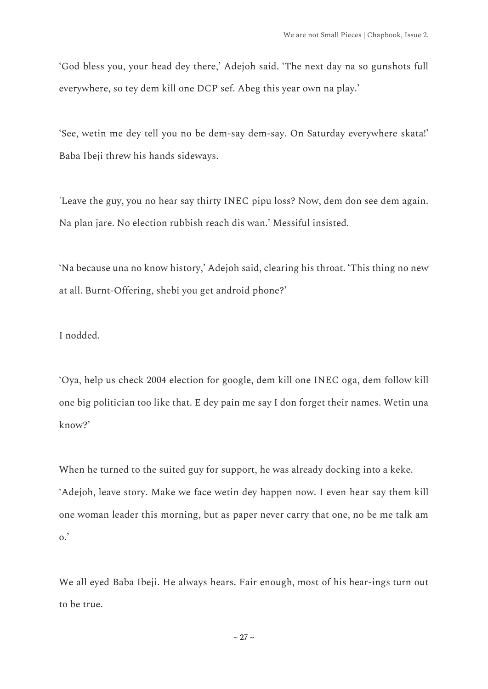'God bless you, your head dey there,' Adejoh said. 'The next day na so gunshots full everywhere, so tey dem kill one DCP sef. Abeg this year own na play.'

'See, wetin me dey tell you no be dem-say dem-say. On Saturday everywhere skata!' Baba Ibeji threw his hands sideways.

'Leave the guy, you no hear say thirty INEC pipu loss? Now, dem don see dem again. Na plan jare. No election rubbish reach dis wan.' Messiful insisted.

'Na because una no know history,' Adejoh said, clearing his throat. 'This thing no new at all. Burnt-Offering, shebi you get android phone?'

I nodded.

'Oya, help us check 2004 election for google, dem kill one INEC oga, dem follow kill one big politician too like that. E dey pain me say I don forget their names. Wetin una know?'

When he turned to the suited guy for support, he was already docking into a keke. 'Adejoh, leave story. Make we face wetin dey happen now. I even hear say them kill one woman leader this morning, but as paper never carry that one, no be me talk am  $\circ$ .

We all eyed Baba Ibeji. He always hears. Fair enough, most of his hear-ings turn out to be true.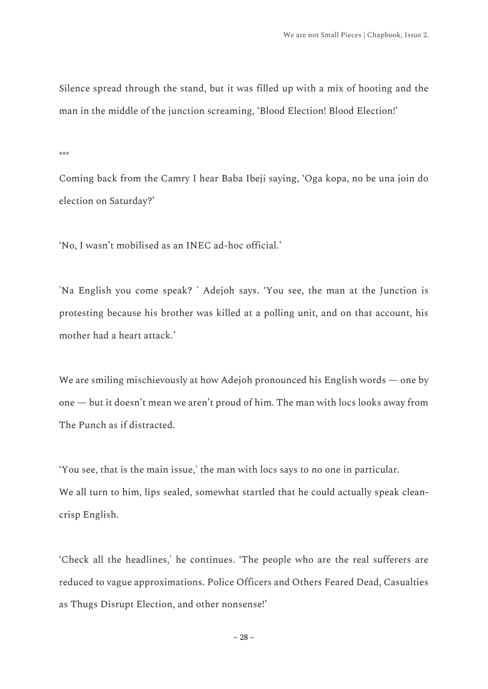Silence spread through the stand, but it was filled up with a mix of hooting and the man in the middle of the junction screaming, 'Blood Election! Blood Election!'

\*\*\*

Coming back from the Camry I hear Baba Ibeji saying, 'Oga kopa, no be una join do election on Saturday?'

'No, I wasn't mobilised as an INEC ad-hoc official.'

'Na English you come speak? ' Adejoh says. 'You see, the man at the Junction is protesting because his brother was killed at a polling unit, and on that account, his mother had a heart attack.'

We are smiling mischievously at how Adejoh pronounced his English words — one by one — but it doesn't mean we aren't proud of him. The man with locs looks away from The Punch as if distracted.

'You see, that is the main issue,' the man with locs says to no one in particular. We all turn to him, lips sealed, somewhat startled that he could actually speak cleancrisp English.

'Check all the headlines,' he continues. 'The people who are the real sufferers are reduced to vague approximations. Police Officers and Others Feared Dead, Casualties as Thugs Disrupt Election, and other nonsense!'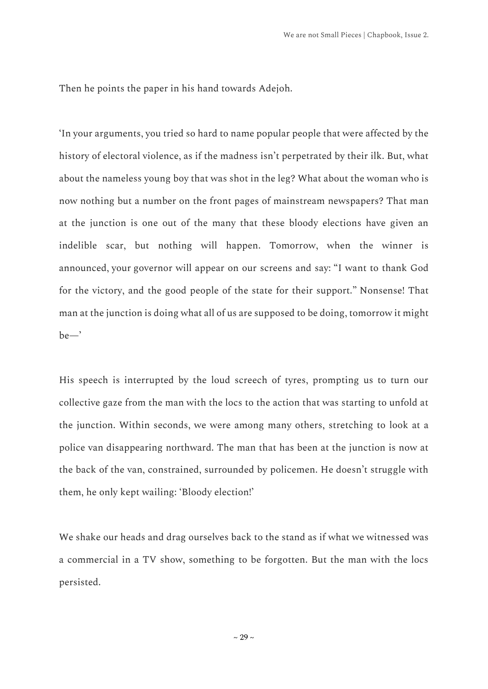Then he points the paper in his hand towards Adejoh.

'In your arguments, you tried so hard to name popular people that were affected by the history of electoral violence, as if the madness isn't perpetrated by their ilk. But, what about the nameless young boy that was shot in the leg? What about the woman who is now nothing but a number on the front pages of mainstream newspapers? That man at the junction is one out of the many that these bloody elections have given an indelible scar, but nothing will happen. Tomorrow, when the winner is announced, your governor will appear on our screens and say: "I want to thank God for the victory, and the good people of the state for their support." Nonsense! That man at the junction is doing what all of us are supposed to be doing, tomorrow it might be—'

His speech is interrupted by the loud screech of tyres, prompting us to turn our collective gaze from the man with the locs to the action that was starting to unfold at the junction. Within seconds, we were among many others, stretching to look at a police van disappearing northward. The man that has been at the junction is now at the back of the van, constrained, surrounded by policemen. He doesn't struggle with them, he only kept wailing: 'Bloody election!'

We shake our heads and drag ourselves back to the stand as if what we witnessed was a commercial in a TV show, something to be forgotten. But the man with the locs persisted.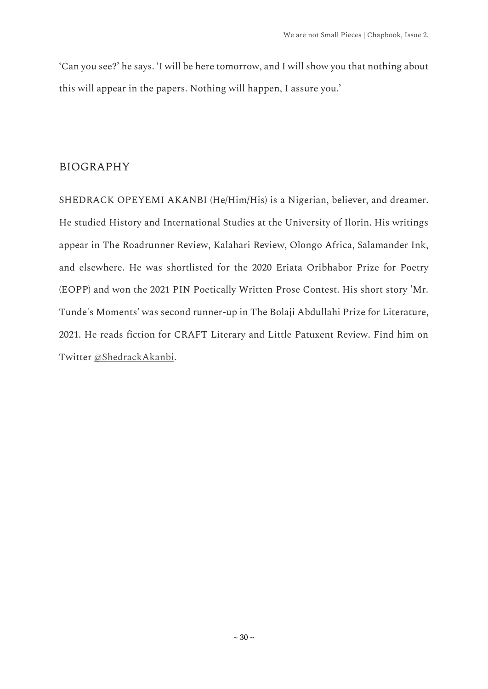'Can you see?' he says. 'I will be here tomorrow, and I will show you that nothing about this will appear in the papers. Nothing will happen, I assure you.'

#### BIOGRAPHY

SHEDRACK OPEYEMI AKANBI (He/Him/His) is a Nigerian, believer, and dreamer. He studied History and International Studies at the University of Ilorin. His writings appear in The Roadrunner Review, Kalahari Review, Olongo Africa, Salamander Ink, and elsewhere. He was shortlisted for the 2020 Eriata Oribhabor Prize for Poetry (EOPP) and won the 2021 PIN Poetically Written Prose Contest. His short story 'Mr. Tunde's Moments' was second runner-up in The Bolaji Abdullahi Prize for Literature, 2021. He reads fiction for CRAFT Literary and Little Patuxent Review. Find him on Twitter [@ShedrackAkanbi.](https://twitter.com/ShedrackAkanbi?s=20&t=5MfnAEVx0xof42KvsZOs8Q)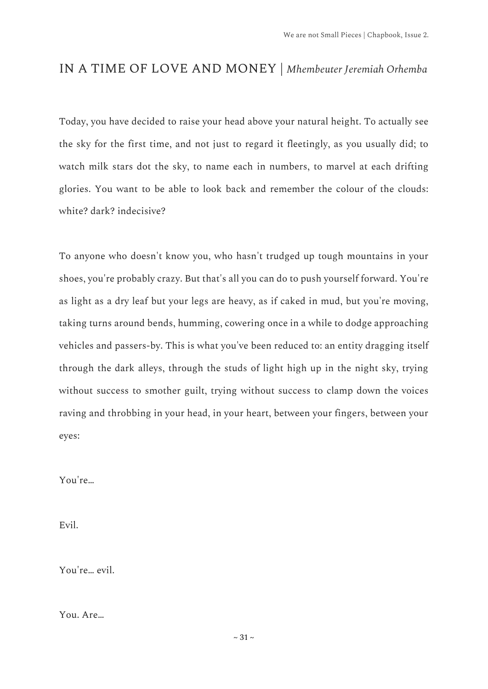## <span id="page-41-0"></span>IN A TIME OF LOVE AND MONEY | *Mhembeuter Jeremiah Orhemba*

Today, you have decided to raise your head above your natural height. To actually see the sky for the first time, and not just to regard it fleetingly, as you usually did; to watch milk stars dot the sky, to name each in numbers, to marvel at each drifting glories. You want to be able to look back and remember the colour of the clouds: white? dark? indecisive?

To anyone who doesn't know you, who hasn't trudged up tough mountains in your shoes, you're probably crazy. But that's all you can do to push yourself forward. You're as light as a dry leaf but your legs are heavy, as if caked in mud, but you're moving, taking turns around bends, humming, cowering once in a while to dodge approaching vehicles and passers-by. This is what you've been reduced to: an entity dragging itself through the dark alleys, through the studs of light high up in the night sky, trying without success to smother guilt, trying without success to clamp down the voices raving and throbbing in your head, in your heart, between your fingers, between your eyes:

You're…

Evil.

You're… evil.

You. Are…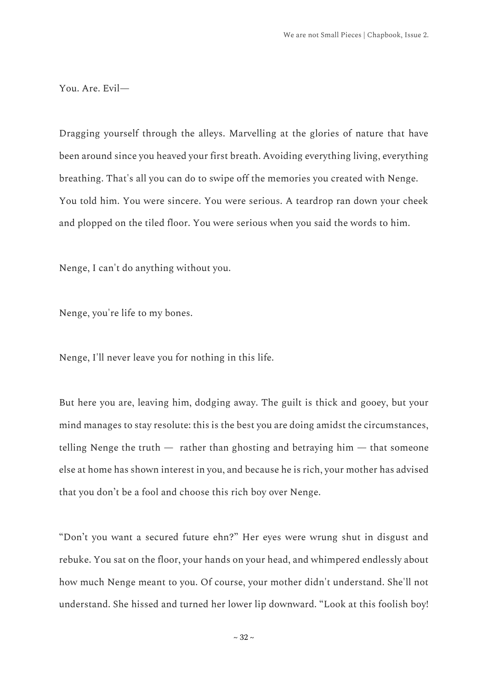You. Are. Evil—

Dragging yourself through the alleys. Marvelling at the glories of nature that have been around since you heaved your first breath. Avoiding everything living, everything breathing. That's all you can do to swipe off the memories you created with Nenge. You told him. You were sincere. You were serious. A teardrop ran down your cheek and plopped on the tiled floor. You were serious when you said the words to him.

Nenge, I can't do anything without you.

Nenge, you're life to my bones.

Nenge, I'll never leave you for nothing in this life.

But here you are, leaving him, dodging away. The guilt is thick and gooey, but your mind manages to stay resolute: this is the best you are doing amidst the circumstances, telling Nenge the truth  $-$  rather than ghosting and betraying him  $-$  that someone else at home has shown interest in you, and because he is rich, your mother has advised that you don't be a fool and choose this rich boy over Nenge.

"Don't you want a secured future ehn?" Her eyes were wrung shut in disgust and rebuke. You sat on the floor, your hands on your head, and whimpered endlessly about how much Nenge meant to you. Of course, your mother didn't understand. She'll not understand. She hissed and turned her lower lip downward. "Look at this foolish boy!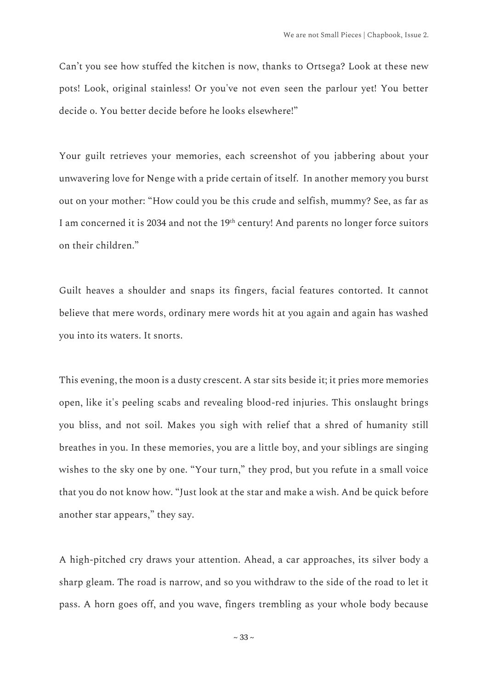Can't you see how stuffed the kitchen is now, thanks to Ortsega? Look at these new pots! Look, original stainless! Or you've not even seen the parlour yet! You better decide o. You better decide before he looks elsewhere!"

Your guilt retrieves your memories, each screenshot of you jabbering about your unwavering love for Nenge with a pride certain of itself. In another memory you burst out on your mother: "How could you be this crude and selfish, mummy? See, as far as I am concerned it is 2034 and not the 19<sup>th</sup> century! And parents no longer force suitors on their children."

Guilt heaves a shoulder and snaps its fingers, facial features contorted. It cannot believe that mere words, ordinary mere words hit at you again and again has washed you into its waters. It snorts.

This evening, the moon is a dusty crescent. A star sits beside it; it pries more memories open, like it's peeling scabs and revealing blood-red injuries. This onslaught brings you bliss, and not soil. Makes you sigh with relief that a shred of humanity still breathes in you. In these memories, you are a little boy, and your siblings are singing wishes to the sky one by one. "Your turn," they prod, but you refute in a small voice that you do not know how. "Just look at the star and make a wish. And be quick before another star appears," they say.

A high-pitched cry draws your attention. Ahead, a car approaches, its silver body a sharp gleam. The road is narrow, and so you withdraw to the side of the road to let it pass. A horn goes off, and you wave, fingers trembling as your whole body because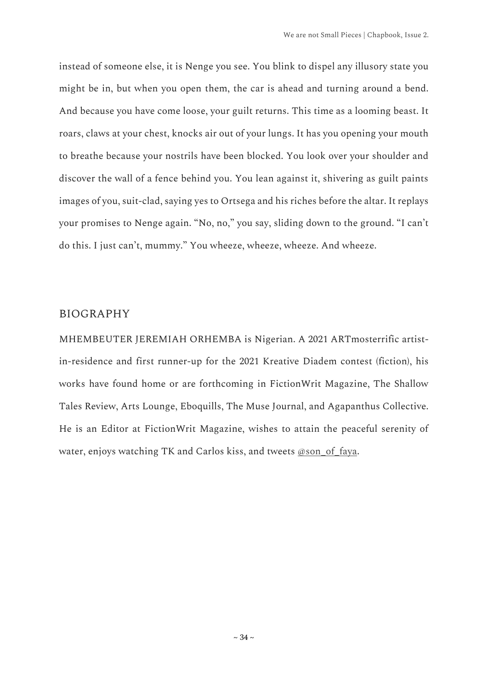instead of someone else, it is Nenge you see. You blink to dispel any illusory state you might be in, but when you open them, the car is ahead and turning around a bend. And because you have come loose, your guilt returns. This time as a looming beast. It roars, claws at your chest, knocks air out of your lungs. It has you opening your mouth to breathe because your nostrils have been blocked. You look over your shoulder and discover the wall of a fence behind you. You lean against it, shivering as guilt paints images of you, suit-clad, saying yes to Ortsega and his riches before the altar. It replays your promises to Nenge again. "No, no," you say, sliding down to the ground. "I can't do this. I just can't, mummy." You wheeze, wheeze, wheeze. And wheeze.

#### BIOGRAPHY

MHEMBEUTER JEREMIAH ORHEMBA is Nigerian. A 2021 ARTmosterrific artistin-residence and first runner-up for the 2021 Kreative Diadem contest (fiction), his works have found home or are forthcoming in FictionWrit Magazine, The Shallow Tales Review, Arts Lounge, Eboquills, The Muse Journal, and Agapanthus Collective. He is an Editor at FictionWrit Magazine, wishes to attain the peaceful serenity of water, enjoys watching TK and Carlos kiss, and tweets [@son\\_of\\_faya.](https://twitter.com/son_of_faya?s=20&t=5MfnAEVx0xof42KvsZOs8Q)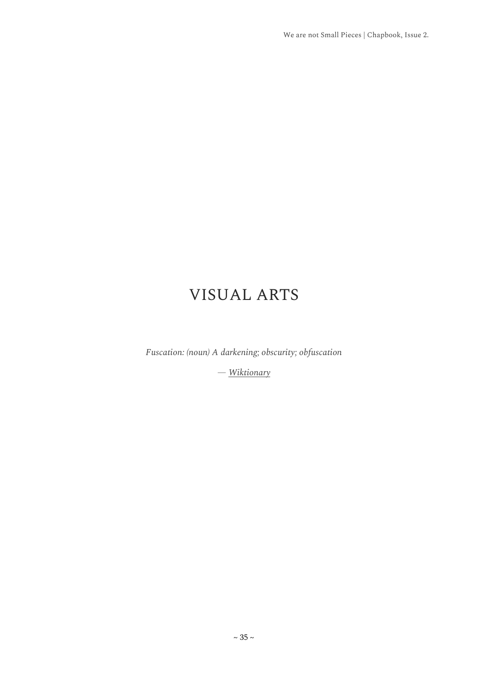# VISUAL ARTS

<span id="page-45-0"></span>*Fuscation: (noun) A darkening; obscurity; obfuscation*

*— [Wiktionary](https://en.wiktionary.org/wiki/fuscation#:~:text=Noun,A%20darkening%3B%20obscurity%3B%20obfuscation.)*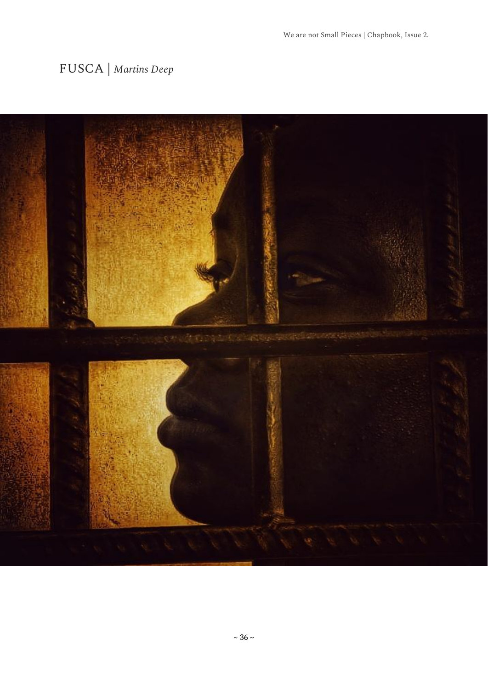# <span id="page-46-0"></span>FUSCA | *Martins Deep*